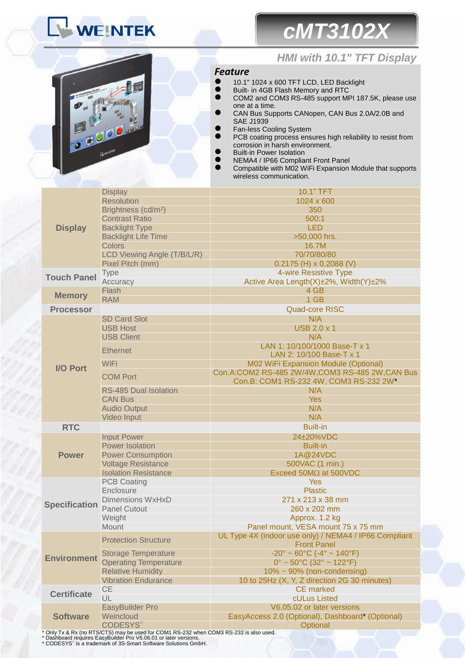# WEINTEK





### *HMI with 10.1" TFT Display*

### *Feature*

- 10.1" 1024 x 600 TFT LCD, LED Backlight
- Built- in 4GB Flash Memory and RTC<br>● COM2 and COM3 RS-485 support MB
- COM2 and COM3 RS-485 support MPI 187.5K, please use one at a time.
- CAN Bus Supports CANopen, CAN Bus 2.0A/2.0B and SAE J1939
- Fan-less Cooling System
- **PCB** coating process ensures high reliability to resist from corrosion in harsh environment.
- Built-in Power Isolation
- NEMA4 / IP66 Compliant Front Panel
- Compatible with M02 WiFi Expansion Module that supports wireless communication.

| <b>Display</b>       | <b>Display</b>                  | 10.1" TFT                                                                                |  |
|----------------------|---------------------------------|------------------------------------------------------------------------------------------|--|
|                      | <b>Resolution</b>               | 1024 x 600                                                                               |  |
|                      | Brightness (cd/m <sup>2</sup> ) | 350                                                                                      |  |
|                      | <b>Contrast Ratio</b>           | 500:1                                                                                    |  |
|                      | <b>Backlight Type</b>           | <b>LED</b>                                                                               |  |
|                      | <b>Backlight Life Time</b>      | >50,000 hrs.                                                                             |  |
|                      | <b>Colors</b>                   | 16.7M                                                                                    |  |
|                      | LCD Viewing Angle (T/B/L/R)     | 70/70/80/80                                                                              |  |
|                      | Pixel Pitch (mm)                | $0.2175$ (H) x 0.2088 (V)                                                                |  |
| <b>Touch Panel</b>   | Type                            | 4-wire Resistive Type                                                                    |  |
|                      | Accuracy                        | Active Area Length(X)±2%, Width(Y)±2%                                                    |  |
| <b>Memory</b>        | Flash                           | 4 GB                                                                                     |  |
|                      | <b>RAM</b>                      | 1 GB                                                                                     |  |
| <b>Processor</b>     |                                 | <b>Quad-core RISC</b>                                                                    |  |
|                      | <b>SD Card Slot</b>             | N/A                                                                                      |  |
|                      | <b>USB Host</b>                 | <b>USB 2.0 x 1</b>                                                                       |  |
|                      | <b>USB Client</b>               | N/A                                                                                      |  |
|                      | <b>Ethernet</b>                 | LAN 1: 10/100/1000 Base-T x 1                                                            |  |
|                      |                                 | LAN 2: 10/100 Base-T x 1                                                                 |  |
| <b>I/O Port</b>      | <b>WiFi</b>                     | <b>M02 WiFi Expansion Module (Optional)</b>                                              |  |
|                      | <b>COM Port</b>                 | Con.A:COM2 RS-485 2W/4W,COM3 RS-485 2W,CAN Bus<br>Con.B: COM1 RS-232 4W, COM3 RS-232 2W* |  |
|                      | <b>RS-485 Dual Isolation</b>    | N/A                                                                                      |  |
|                      | <b>CAN Bus</b>                  | <b>Yes</b>                                                                               |  |
|                      | <b>Audio Output</b>             | N/A                                                                                      |  |
|                      | Video Input                     | N/A                                                                                      |  |
| <b>RTC</b>           |                                 | <b>Built-in</b>                                                                          |  |
|                      | <b>Input Power</b>              | 24±20%VDC                                                                                |  |
|                      | <b>Power Isolation</b>          | <b>Built-in</b>                                                                          |  |
| <b>Power</b>         | <b>Power Consumption</b>        | 1A@24VDC                                                                                 |  |
|                      | <b>Voltage Resistance</b>       | 500VAC (1 min.)                                                                          |  |
|                      | <b>Isolation Resistance</b>     | Exceed 50MΩ at 500VDC                                                                    |  |
|                      | <b>PCB Coating</b>              | <b>Yes</b>                                                                               |  |
|                      | Enclosure                       | <b>Plastic</b>                                                                           |  |
|                      | <b>Dimensions WxHxD</b>         | 271 x 213 x 38 mm                                                                        |  |
| <b>Specification</b> | <b>Panel Cutout</b>             | 260 x 202 mm                                                                             |  |
|                      | Weight                          | Approx. 1.2 kg                                                                           |  |
|                      | Mount                           | Panel mount, VESA mount 75 x 75 mm                                                       |  |
| <b>Environment</b>   | <b>Protection Structure</b>     | UL Type 4X (indoor use only) / NEMA4 / IP66 Compliant<br><b>Front Panel</b>              |  |
|                      | <b>Storage Temperature</b>      | $-20^{\circ} \sim 60^{\circ}$ C ( $-4^{\circ} \sim 140^{\circ}$ F)                       |  |
|                      | <b>Operating Temperature</b>    | $0^{\circ}$ ~ 50 $^{\circ}$ C (32 $^{\circ}$ ~ 122 $^{\circ}$ F)                         |  |
|                      | <b>Relative Humidity</b>        | $10\% \sim 90\%$ (non-condensing)                                                        |  |
|                      | <b>Vibration Endurance</b>      | 10 to 25Hz (X, Y, Z direction 2G 30 minutes)                                             |  |
| <b>Certificate</b>   | <b>CE</b>                       | <b>CE</b> marked                                                                         |  |
|                      | UL                              | cULus Listed                                                                             |  |
| <b>Software</b>      | <b>EasyBuilder Pro</b>          | V6.05.02 or later versions                                                               |  |
|                      | Weincloud                       | EasyAccess 2.0 (Optional), Dashboard* (Optional)                                         |  |
|                      | <b>CODESYS®</b>                 | Optional                                                                                 |  |

\* Only Tx & Rx (no RTS/CTS) may be used for COM1 RS-232 when COM3 RS-232 is also used. \* Dashboard requires EasyBuilder Pro V6.06.01 or later versions.

\* CODESYS® is a trademark of 3S-Smart Software Solutions GmbH.